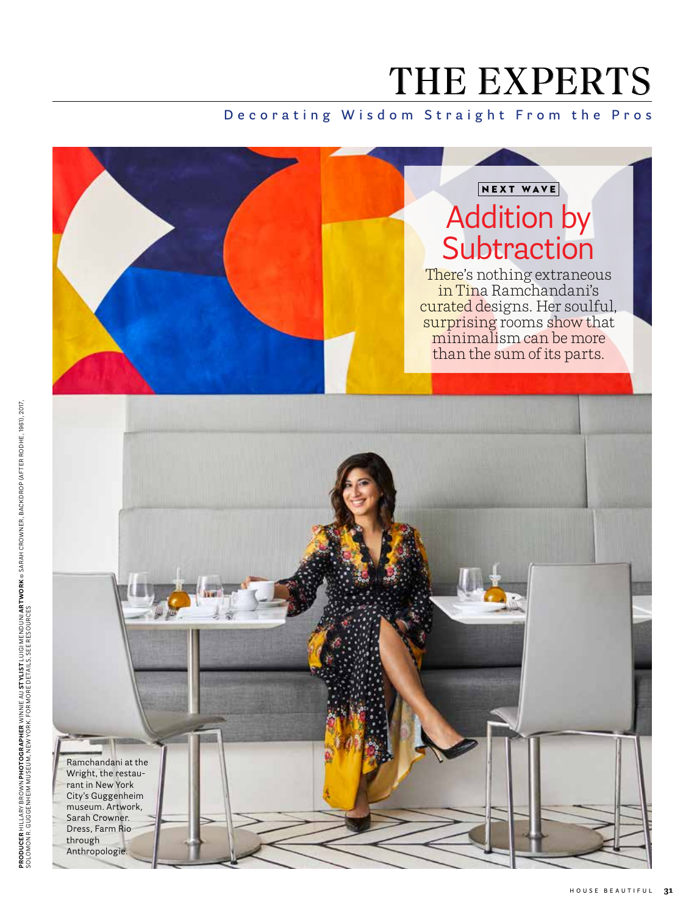# THE EXPERTS

## **Decorating Wisdom Straight From the Pros**